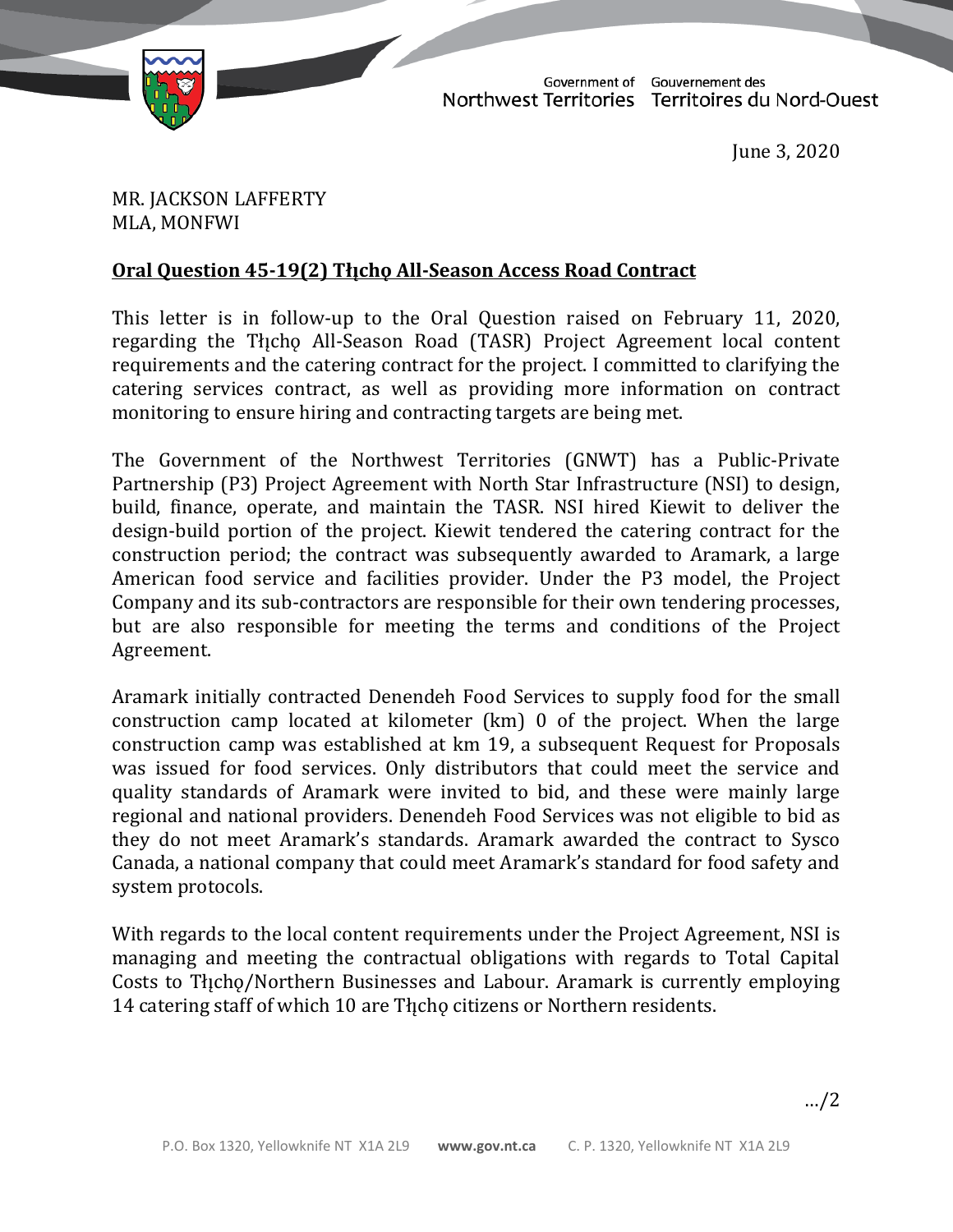

TD 124-19(2) TABLED ON JUNE 3, 2020

Government of Gouvernement des Northwest Territories Territoires du Nord-Ouest

June 3, 2020

MR. JACKSON LAFFERTY MLA, MONFWI

## **Oral Question 45-19(2) Thcho All-Season Access Road Contract**

This letter is in follow-up to the Oral Question raised on February 11, 2020, regarding the Theop All-Season Road (TASR) Project Agreement local content requirements and the catering contract for the project. I committed to clarifying the catering services contract, as well as providing more information on contract monitoring to ensure hiring and contracting targets are being met.

The Government of the Northwest Territories (GNWT) has a Public-Private Partnership (P3) Project Agreement with North Star Infrastructure (NSI) to design, build, finance, operate, and maintain the TASR. NSI hired Kiewit to deliver the design-build portion of the project. Kiewit tendered the catering contract for the construction period; the contract was subsequently awarded to Aramark, a large American food service and facilities provider. Under the P3 model, the Project Company and its sub-contractors are responsible for their own tendering processes, but are also responsible for meeting the terms and conditions of the Project Agreement.

Aramark initially contracted Denendeh Food Services to supply food for the small construction camp located at kilometer (km) 0 of the project. When the large construction camp was established at km 19, a subsequent Request for Proposals was issued for food services. Only distributors that could meet the service and quality standards of Aramark were invited to bid, and these were mainly large regional and national providers. Denendeh Food Services was not eligible to bid as they do not meet Aramark's standards. Aramark awarded the contract to Sysco Canada, a national company that could meet Aramark's standard for food safety and system protocols.

With regards to the local content requirements under the Project Agreement, NSI is managing and meeting the contractual obligations with regards to Total Capital Costs to Tłįcho/Northern Businesses and Labour. Aramark is currently employing 14 catering staff of which 10 are Thicho citizens or Northern residents.